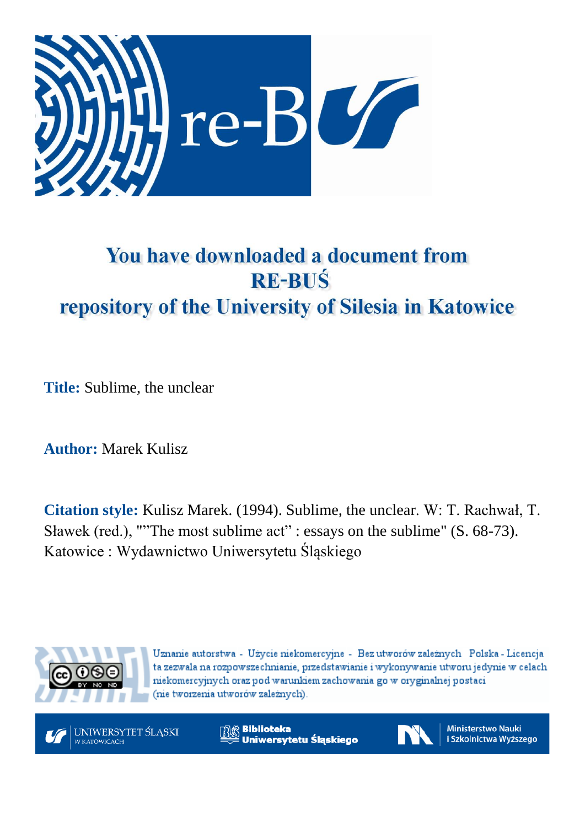

## You have downloaded a document from **RE-BUŚ** repository of the University of Silesia in Katowice

**Title:** Sublime, the unclear

**Author:** Marek Kulisz

**Citation style:** Kulisz Marek. (1994). Sublime, the unclear. W: T. Rachwał, T. Sławek (red.), ""The most sublime act" : essays on the sublime" (S. 68-73). Katowice : Wydawnictwo Uniwersytetu Śląskiego



Uznanie autorstwa - Użycie niekomercyjne - Bez utworów zależnych Polska - Licencja ta zezwala na rozpowszechnianie, przedstawianie i wykonywanie utworu jedynie w celach niekomercyjnych oraz pod warunkiem zachowania go w oryginalnej postaci (nie tworzenia utworów zależnych).



**Biblioteka** Uniwersytetu Śląskiego



**Ministerstwo Nauki** i Szkolnictwa Wyższego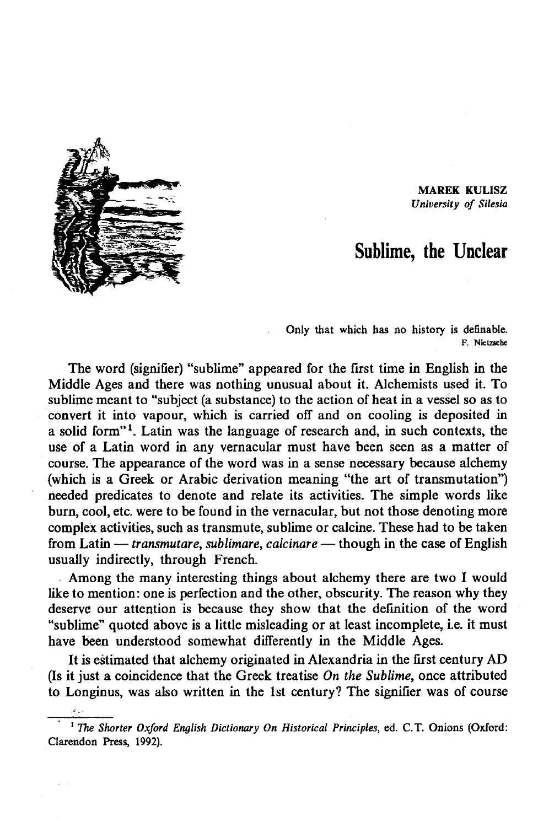MAREK KULISZ *University of Silesia* 

## Sublime, the Unclear

Only that which has no history is definable. F. Nietzsche

The word (signifler) "sublime" appeared for the first time in English in the Middle Ages and there was nothing unusual about it. Alchemists used it. To sublime meant to "subject (a substance) to the action of heat in a vessel so as to convert it into vapour, which is carried off and on cooling is deposited in a solid form*"l.* Latin was the language of research and, in such contexts, the use of a Latin word in any vernacular must have been seen as a matter of course. The appearance of the word was in a sense necessary because alchemy (which is a Greek or Arabic derivation meaning "the art of transmutation") needed predicates to denote and relate its activities. The simple words like burn, cool, etc. were to be found in the vernacular, but not those denoting more complex activities, such as transmute, sublime or calcine. These had to be taken from Latin — *transmutare, sublimare, calcinare* — though in the case of English usually indirectly, through French.

Among the many interesting things about alchemy there are two I would like to mention: one is perfection and the other, obscurity. The reason why they deserve our attention is because they show that the definition of the word "sublime" quoted above is a little misleading or at least incomplete, i.e. it must have been understood somewhat differently in the Middle Ages.

It is estimated that alchemy originated in Alexandria in the first century AD (Is it just a coincidence that the Greek treatise *On the Sublime,* once attributed to Longinus, was also written in the 1st century? The signifler was of course

<sup>1</sup> The Shorter Oxford English Dictionary On Historical Principles, ed. C.T. Onions (Oxford: Clarendon Press, 1992).

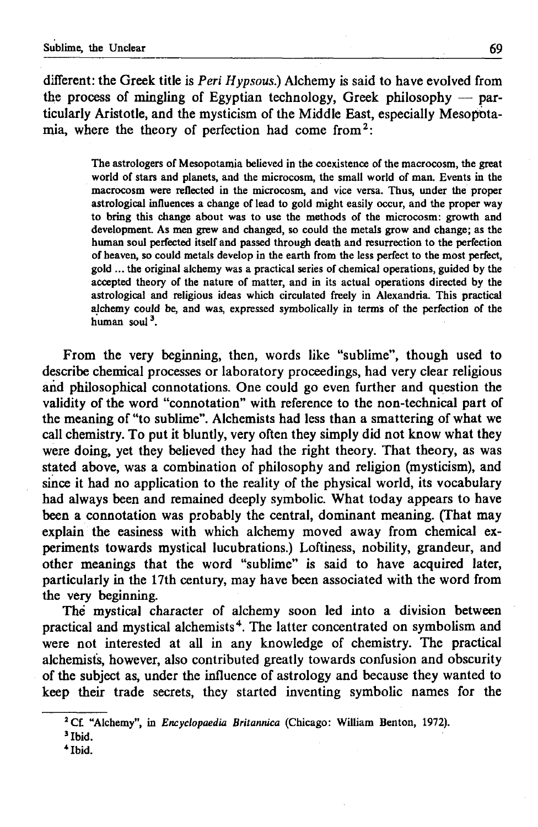different: the Greek title is *Peri Hypsous.)* Alchemy is said to have evolved from the process of mingling of Egyptian technology, Greek philosophy — particularly Aristotle, and the mysticism of the Middle East, especially Mesopotamia, where the theory of perfection had come from  $2$ :

> The astrologers of Mesopotamia believed in the coexistence of the macrocosm, the great world of stars and planets, and the microcosm, the small world of man. Events in the macrocosm were reflected in the microcosm, and vice versa. Thus, under the proper astrological influences a change of lead to gold might easily occur, and the proper way to bring this change about was to use the methods of the microcosm: growth and development. As men grew and changed, so could the metals grow and change; as the human soul perfected itself and passed through death and resurrection to the perfection of heaven, so could metals develop in the earth from the less perfect to the most perfect, gold ... the original alchemy was a practical series of chemical operations, guided by the accepted theory of the nature of matter, and in its actual operations directed by the astrological and religious ideas which circulated freely in Alexandria. This practical alchemy could be, and was, expressed symbolically in terms of the perfection of the human soul $3$ .

From the very beginning, then, words like "sublime", though used to describe chemical processes or laboratory proceedings, had very clear religious and philosophical connotations. One could go even further and question the validity of the word "connotation" with reference to the non-technical part of the meaning of "to sublime". Alchemists had less than a smattering of what we call chemistry. To put it bluntly, very often they simply did not know what they were doing, yet they believed they had the right theory. That theory, as was stated above, was a combination of philosophy and religion (mysticism), and since it had no application to the reality of the physical world, its vocabulary had always been and remained deeply symbolic. What today appears to have been a connotation was probably the central, dominant meaning. (That may explain the easiness with which alchemy moved away from chemical experiments towards mystical lucubrations.) Loftiness, nobility, grandeur, and other meanings that the word "sublime" is said to have acquired later, particularly in the 17th century, may have been associated with the word from the very beginning.

The mystical character of alchemy soon led into a division between practical and mystical alchemists<sup>4</sup>. The latter concentrated on symbolism and were not interested at all in any knowledge of chemistry. The practical alchemists, however, also contributed greatly towards confusion and obscurity of the subject as, under the influence of astrology and because they wanted to keep their trade secrets, they started inventing symbolic names for the

*\** Ibid.

*<sup>2</sup>* Cf. "Alchemy", in *Encyclopaedia Britannica* (Chicago: William Benton, 1972).

<sup>3</sup> Ibid.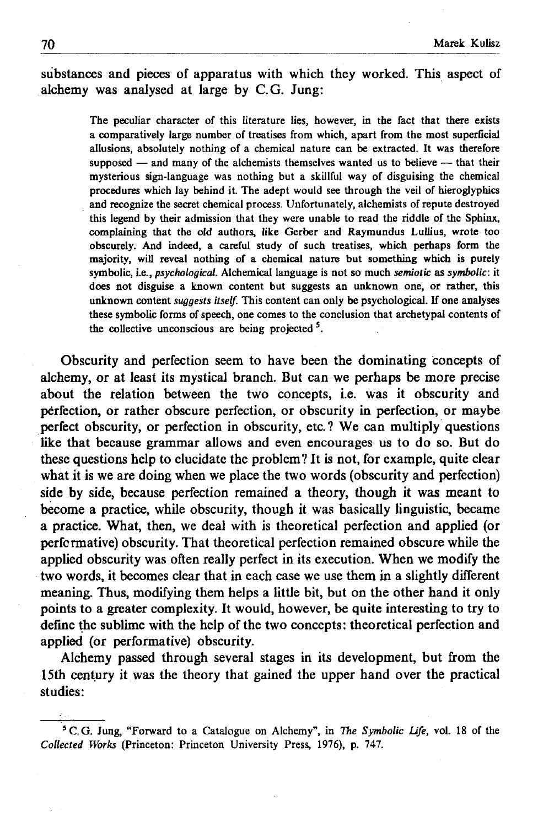substances and pieces of apparatus with which they worked. This aspect of alchemy was analysed at large by C.G. Jung:

> The peculiar character of this literature lies, however, in the fact that there exists a comparatively large number of treatises from which, apart from the most superficial allusions, absolutely nothing of a chemical nature can be extracted. It was therefore supposed — and many of the alchemists themselves wanted us to believe — that their mysterious sign-language was nothing but a skillful way of disguising the chemical procedures which lay behind it. The adept would see through the veil of hieroglyphics and recognize the secret chemical process. Unfortunately, alchemists of repute destroyed this legend by their admission that they were unable to read the riddle of the Sphinx, complaining that the old authors, like Gerber and Raymundus Lullius, wrote too obscurely. And indeed, a careful study of such treatises, which perhaps form the majority, will reveal nothing of a chemical nature but something which is purely symbolic, I.e., *psychological.* Alchemical language is not so much *semiotic* as *symbolic*: it does not disguise a known content but suggests an unknown one, or rather, this unknown content *suggests itself.* This content can only be psychological. If one analyses these symbolic forms of speech, one comes to the conclusion that archetypal contents of the collective unconscious are being projected  $5$ .

Obscurity and perfection seem to have been the dominating concepts of alchemy, or at least its mystical branch. But can we perhaps be more precise about the relation between the two concepts, i.e. was it obscurity and perfection, or rather obscure perfection, or obscurity in perfection, or maybe perfect obscurity, or perfection in obscurity, etc.? We can multiply questions like that because grammar allows and even encourages us to do so. But do these questions help to elucidate the problem? It is not, for example, quite clear what it is we are doing when we place the two words (obscurity and perfection) side by side, because perfection remained a theory, though it was meant to become a practice, while obscurity, though it was basically linguistic, became a practice. What, then, we deal with is theoretical perfection and applied (or performative) obscurity. That theoretical perfection remained obscure while the applied obscurity was often really perfect in its execution. When we modify the two words, it becomes clear that in each case we use them in a slightly different meaning. Thus, modifying them helps a little bit, but on the other hand it only points to a greater complexity. It would, however, be quite interesting to try to define the sublime with the help of the two concepts: theoretical perfection and applied (or performative) obscurity.

Alchemy passed through several stages in its development, but from the 15th century it was the theory that gained the upper hand over the practical studies:

<sup>5</sup>C.G. Jung, "Forward to a Catalogue on Alchemy", in *The Symbolic Life,* vol. 18 of the *Collected Works* (Princeton: Princeton University Press, 1976), p. 747.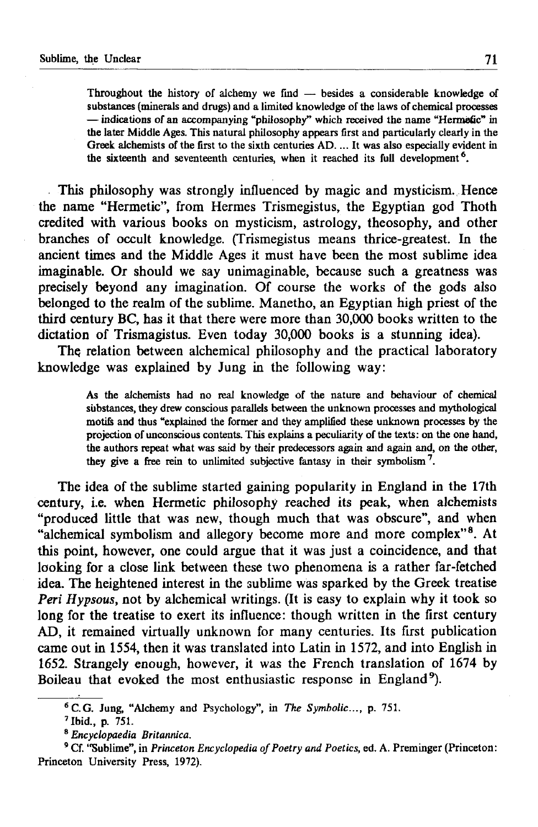Throughout the history of alchemy we find — besides a considerable knowledge of substances (minerals and drugs) and a limited knowledge of the laws of chemical processes — indications of an accompanying "philosophy" which received the name "Hennefic" in the later Middle Ages. This natural philosophy appears first and particularly clearly in the Greek alchemists of the first to the sixth centuries AD. ... It was also especially evident in the sixteenth and seventeenth centuries, when it reached its full development<sup>6</sup>.

This philosophy was strongly influenced by magic and mysticism. Hence the name "Hermetic", from Hermes Trismegistus, the Egyptian god Thoth credited with various books on mysticism, astrology, theosophy, and other branches of occult knowledge. (Trismegistus means thrice-greatest. In the ancient times and the Middle Ages it must have been the most sublime idea imaginable. Or should we say unimaginable, because such a greatness was precisely beyond any imagination. Of course the works of the gods also belonged to the realm of the sublime. Manetho, an Egyptian high priest of the third century BC, has it that there were more than 30,000 books written to the dictation of Trismagistus. Even today 30,000 books is a stunning idea).

The relation between alchemical philosophy and the practical laboratory knowledge was explained by Jung in the following way:

> As the alchemists had no real knowledge of the nature and behaviour of chemical substances, they drew conscious parallels between the unknown processes and mythological motifs and thus "explained the former and they amplified these unknown processes by the projection of unconscious contents. This explains a peculiarity of the texts: on the one hand, the authors repeat what was said by their predecessors again and again and, on the other, they give a free rein to unlimited subjective fantasy in their symbolism7.

The idea of the sublime started gaining popularity in England in the 17th century, i.e. when Hermetic philosophy reached its peak, when alchemists "produced little that was new, though much that was obscure", and when "alchemical symbolism and allegory become more and more complex"8. At this point, however, one could argue that it was just a coincidence, and that looking for a close link between these two phenomena is a rather far-fetched idea. The heightened interest in the sublime was sparked by the Greek treatise *Peri Hypsous,* not by alchemical writings. (It is easy to explain why it took so long for the treatise to exert its influence: though written in the first century AD, it remained virtually unknown for many centuries. Its first publication came out in 1554, then it was translated into Latin in 1572, and into English in 1652. Strangely enough, however, it was the French translation of 1674 by Boileau that evoked the most enthusiastic response in England<sup>9</sup>).

<sup>6</sup> C.G. Jung, "Alchemy and Psychology", in *The Symbolic...,* p. 751.

<sup>7</sup> Ibid., p. 751.

<sup>8</sup> *Encyclopaedia Britannica.*

<sup>9</sup> Cf. "Sublime", in *Princeton Encyclopedia of Poetry and Poetics,* ed. A. Preminger (Princeton: Princeton University Press, 1972).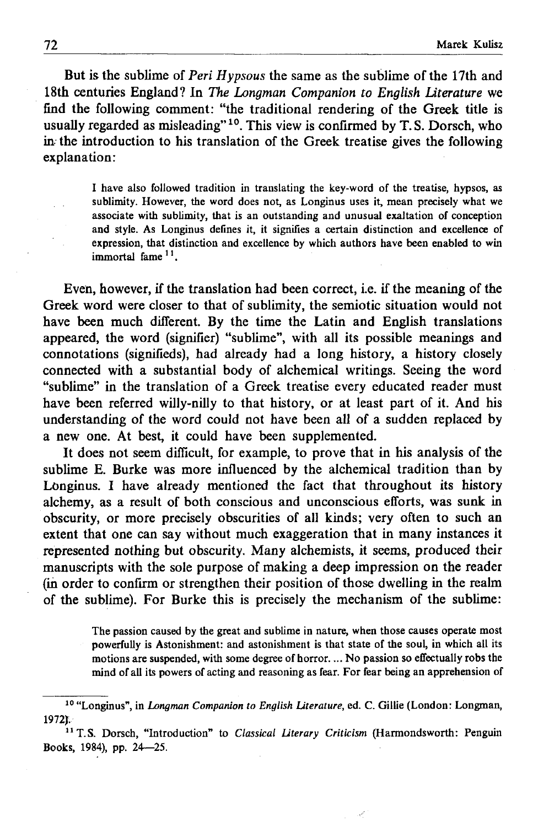But is the sublime of *Peri Hypsous* the same as the sublime of the 17th and 18th centuries England? In *The Longman Companion to English Literature* we find the following comment: "the traditional rendering of the Greek title is usually regarded as misleading"<sup>10</sup>. This view is confirmed by T.S. Dorsch, who in- the introduction to his translation of the Greek treatise gives the following explanation:

> I have also followed tradition in translating the key-word of the treatise, hypsos, as sublimity. However, the word does not, as Longinus uses it, mean precisely what we associate with sublimity, that is an outstanding and unusual exaltation of conception and style. As Longinus defines it, it signifies a certain distinction and excellence of expression, that distinction and excellence by which authors have been enabled to win immortal fame 11.

Even, however, if the translation had been correct, i.e. if the meaning of the Greek word were closer to that of sublimity, the semiotic situation would not have been much different. By the time the Latin and English translations appeared, the word (signifier) "sublime", with all its possible meanings and connotations (signifieds), had already had a long history, a history closely connected with a substantial body of alchemical writings. Seeing the word "sublime" in the translation of a Greek treatise every educated reader must have been referred willy-nilly to that history, or at least part of it. And his understanding of the word could not have been all of a sudden replaced by a new one. At best, it could have been supplemented.

It does not seem difficult, for example, to prove that in his analysis of the sublime E. Burke was more influenced by the alchemical tradition than by Longinus. I have already mentioned the fact that throughout its history alchemy, as a result of both conscious and unconscious efforts, was sunk in obscurity, or more precisely obscurities of all kinds; very often to such an extent that one can say without much exaggeration that in many instances it represented nothing but obscurity. Many alchemists, it seems, produced their manuscripts with the sole purpose of making a deep impression on the reader (in order to confirm or strengthen their position of those dwelling in the realm of the sublime). For Burke this is precisely the mechanism of the sublime:

> The passion caused by the great and sublime in nature, when those causes operate most powerfully is Astonishment: and astonishment is that state of the soul, in which all its motions are suspended, with some degree of horror.... No passion so effectually robs the mind of all its powers of acting and reasoning as fear. For fear being an apprehension of

<sup>10 &</sup>quot;Longinus", in *Longman Companion to English Literature,* ed. C. Gillie (London: Longman, 1972).

<sup>11</sup> T.S. Dorsch, "Introduction" to *Classical Literary Criticism* (Harmondsworth: Penguin Books, 1984), pp. 24—25.